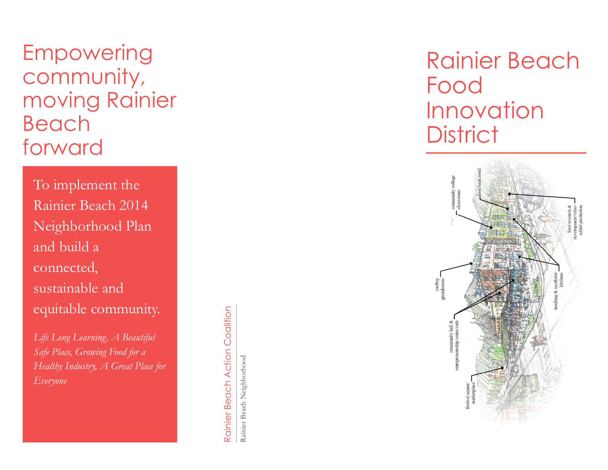## Empowering community, moving Rainier Beach forward

To implement the Rainier Beach 2014 Neighborhood Plan and build a connected, sustainable and equitable community.

*Life Long Learning, A Beautiful Safe Place, Growing Food for a Healthy Industry, A Great Place for Everyone*

Coalition Rainier Beach Action Coalition Rainier Beach Action

Rainier Beach Neighborhood Rainier Beach Neighborhood

# Rainier Beach Food Innovation **District**